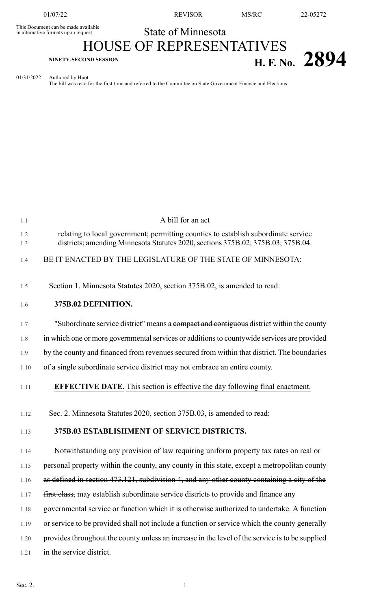This Document can be made available<br>in alternative formats upon request

01/07/22 REVISOR MS/RC 22-05272

## State of Minnesota

## HOUSE OF REPRESENTATIVES **H. F. No.** 2894

## 01/31/2022 Authored by Huot

The bill was read for the first time and referred to the Committee on State Government Finance and Elections

| 1.1        | A bill for an act                                                                                                                                                      |
|------------|------------------------------------------------------------------------------------------------------------------------------------------------------------------------|
| 1.2<br>1.3 | relating to local government; permitting counties to establish subordinate service<br>districts; amending Minnesota Statutes 2020, sections 375B.02; 375B.03; 375B.04. |
| 1.4        | BE IT ENACTED BY THE LEGISLATURE OF THE STATE OF MINNESOTA:                                                                                                            |
| 1.5        | Section 1. Minnesota Statutes 2020, section 375B.02, is amended to read:                                                                                               |
| 1.6        | 375B.02 DEFINITION.                                                                                                                                                    |
| 1.7        | "Subordinate service district" means a compact and contiguous district within the county                                                                               |
| 1.8        | in which one or more governmental services or additions to countywide services are provided                                                                            |
| 1.9        | by the county and financed from revenues secured from within that district. The boundaries                                                                             |
| 1.10       | of a single subordinate service district may not embrace an entire county.                                                                                             |
| 1.11       | <b>EFFECTIVE DATE.</b> This section is effective the day following final enactment.                                                                                    |
| 1.12       | Sec. 2. Minnesota Statutes 2020, section 375B.03, is amended to read:                                                                                                  |
| 1.13       | 375B.03 ESTABLISHMENT OF SERVICE DISTRICTS.                                                                                                                            |
| 1.14       | Notwithstanding any provision of law requiring uniform property tax rates on real or                                                                                   |
| 1.15       | personal property within the county, any county in this state, except a metropolitan county                                                                            |
| 1.16       | as defined in section 473.121, subdivision 4, and any other county containing a city of the                                                                            |
| 1.17       | first class, may establish subordinate service districts to provide and finance any                                                                                    |
| 1.18       | governmental service or function which it is otherwise authorized to undertake. A function                                                                             |
| 1.19       | or service to be provided shall not include a function or service which the county generally                                                                           |
| 1.20       | provides throughout the county unless an increase in the level of the service is to be supplied                                                                        |
| 1.21       | in the service district.                                                                                                                                               |